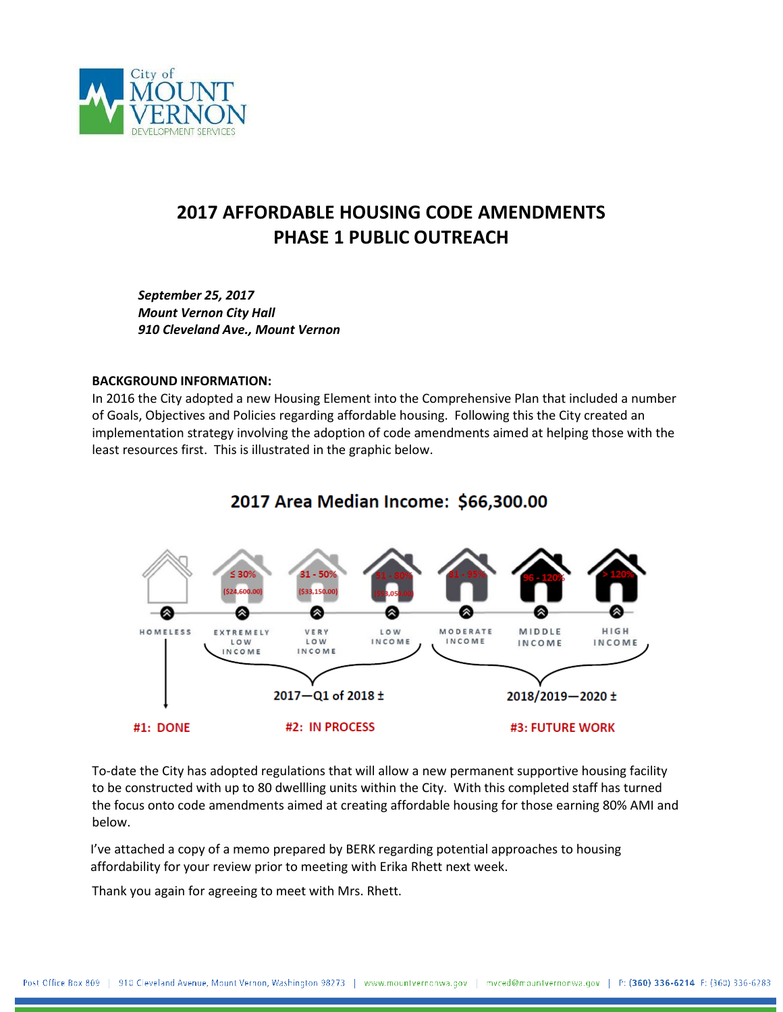

## **2017 AFFORDABLE HOUSING CODE AMENDMENTS PHASE 1 PUBLIC OUTREACH**

*September 25, 2017 Mount Vernon City Hall 910 Cleveland Ave., Mount Vernon*

#### **BACKGROUND INFORMATION:**

In 2016 the City adopted a new Housing Element into the Comprehensive Plan that included a number of Goals, Objectives and Policies regarding affordable housing. Following this the City created an implementation strategy involving the adoption of code amendments aimed at helping those with the least resources first. This is illustrated in the graphic below.



## 2017 Area Median Income: \$66,300.00

To-date the City has adopted regulations that will allow a new permanent supportive housing facility to be constructed with up to 80 dwellling units within the City. With this completed staff has turned the focus onto code amendments aimed at creating affordable housing for those earning 80% AMI and below.

I've attached a copy of a memo prepared by BERK regarding potential approaches to housing affordability for your review prior to meeting with Erika Rhett next week.

Thank you again for agreeing to meet with Mrs. Rhett.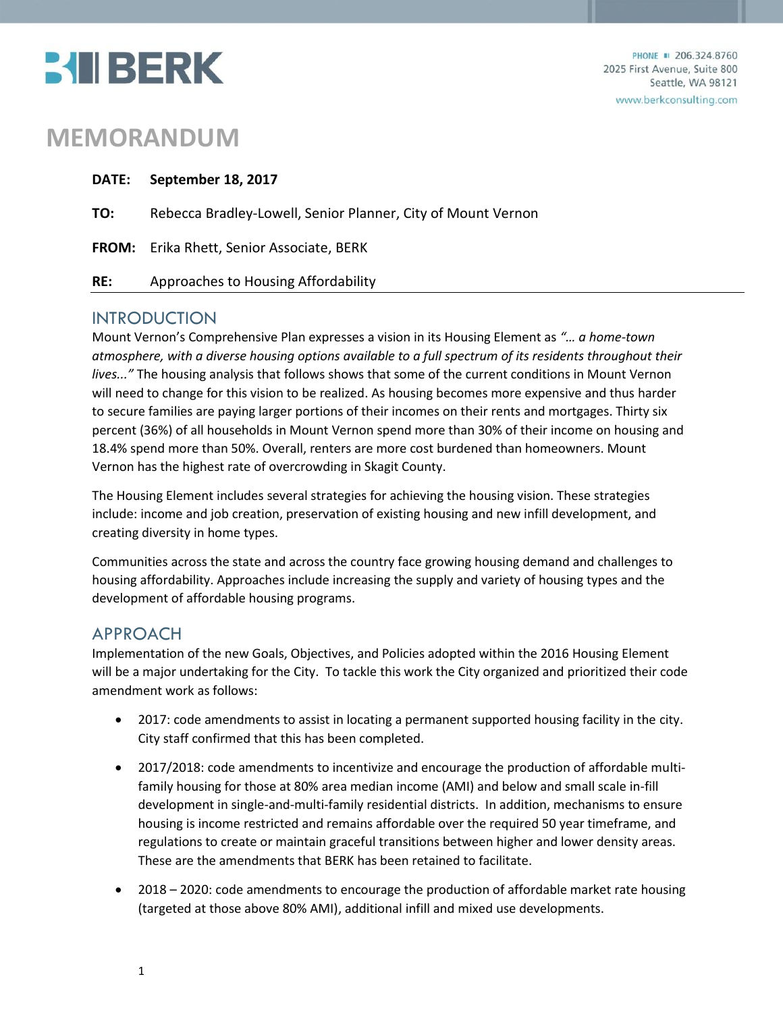

# **MEMORANDUM**

|     | DATE: September 18, 2017                                     |
|-----|--------------------------------------------------------------|
| TO: | Rebecca Bradley-Lowell, Senior Planner, City of Mount Vernon |
|     | <b>FROM:</b> Erika Rhett, Senior Associate, BERK             |
| RE: | Approaches to Housing Affordability                          |

## INTRODUCTION

Mount Vernon's Comprehensive Plan expresses a vision in its Housing Element as *"… a home-town atmosphere, with a diverse housing options available to a full spectrum of its residents throughout their lives..."* The housing analysis that follows shows that some of the current conditions in Mount Vernon will need to change for this vision to be realized. As housing becomes more expensive and thus harder to secure families are paying larger portions of their incomes on their rents and mortgages. Thirty six percent (36%) of all households in Mount Vernon spend more than 30% of their income on housing and 18.4% spend more than 50%. Overall, renters are more cost burdened than homeowners. Mount Vernon has the highest rate of overcrowding in Skagit County.

The Housing Element includes several strategies for achieving the housing vision. These strategies include: income and job creation, preservation of existing housing and new infill development, and creating diversity in home types.

Communities across the state and across the country face growing housing demand and challenges to housing affordability. Approaches include increasing the supply and variety of housing types and the development of affordable housing programs.

## APPROACH

Implementation of the new Goals, Objectives, and Policies adopted within the 2016 Housing Element will be a major undertaking for the City. To tackle this work the City organized and prioritized their code amendment work as follows:

- 2017: code amendments to assist in locating a permanent supported housing facility in the city. City staff confirmed that this has been completed.
- 2017/2018: code amendments to incentivize and encourage the production of affordable multifamily housing for those at 80% area median income (AMI) and below and small scale in-fill development in single-and-multi-family residential districts. In addition, mechanisms to ensure housing is income restricted and remains affordable over the required 50 year timeframe, and regulations to create or maintain graceful transitions between higher and lower density areas. These are the amendments that BERK has been retained to facilitate.
- 2018 2020: code amendments to encourage the production of affordable market rate housing (targeted at those above 80% AMI), additional infill and mixed use developments.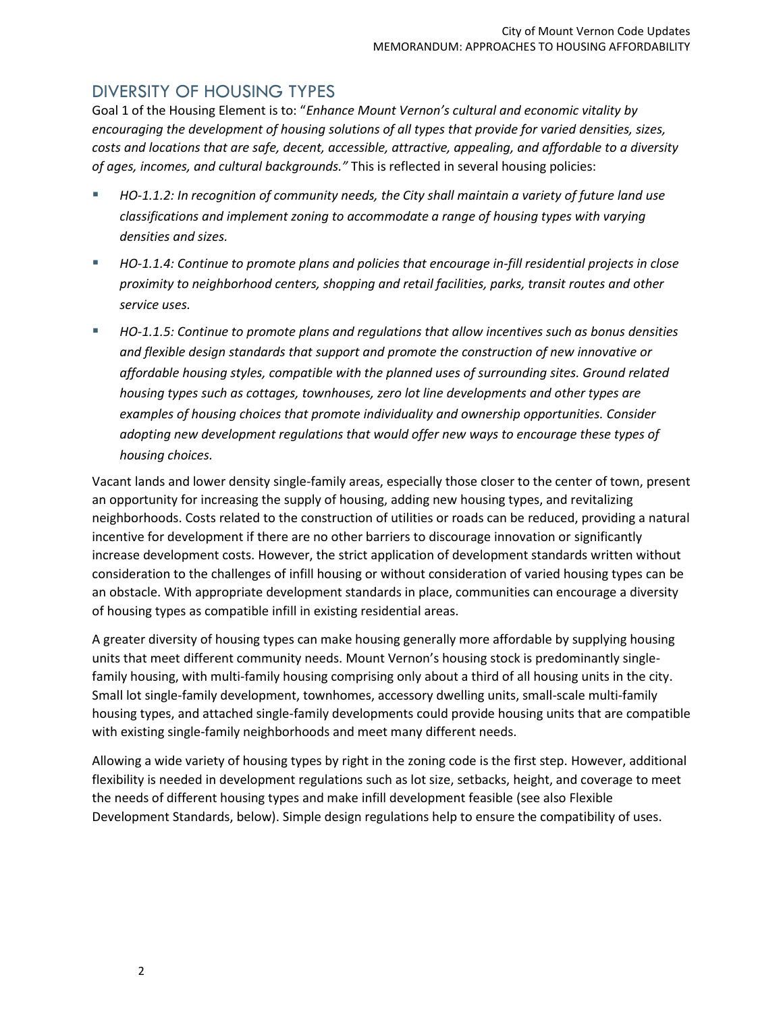## DIVERSITY OF HOUSING TYPES

Goal 1 of the Housing Element is to: "*Enhance Mount Vernon's cultural and economic vitality by encouraging the development of housing solutions of all types that provide for varied densities, sizes, costs and locations that are safe, decent, accessible, attractive, appealing, and affordable to a diversity of ages, incomes, and cultural backgrounds."* This is reflected in several housing policies:

- *HO-1.1.2: In recognition of community needs, the City shall maintain a variety of future land use classifications and implement zoning to accommodate a range of housing types with varying densities and sizes.*
- *HO-1.1.4: Continue to promote plans and policies that encourage in-fill residential projects in close proximity to neighborhood centers, shopping and retail facilities, parks, transit routes and other service uses.*
- *HO-1.1.5: Continue to promote plans and regulations that allow incentives such as bonus densities and flexible design standards that support and promote the construction of new innovative or affordable housing styles, compatible with the planned uses of surrounding sites. Ground related housing types such as cottages, townhouses, zero lot line developments and other types are examples of housing choices that promote individuality and ownership opportunities. Consider adopting new development regulations that would offer new ways to encourage these types of housing choices.*

Vacant lands and lower density single-family areas, especially those closer to the center of town, present an opportunity for increasing the supply of housing, adding new housing types, and revitalizing neighborhoods. Costs related to the construction of utilities or roads can be reduced, providing a natural incentive for development if there are no other barriers to discourage innovation or significantly increase development costs. However, the strict application of development standards written without consideration to the challenges of infill housing or without consideration of varied housing types can be an obstacle. With appropriate development standards in place, communities can encourage a diversity of housing types as compatible infill in existing residential areas.

A greater diversity of housing types can make housing generally more affordable by supplying housing units that meet different community needs. Mount Vernon's housing stock is predominantly singlefamily housing, with multi-family housing comprising only about a third of all housing units in the city. Small lot single-family development, townhomes, accessory dwelling units, small-scale multi-family housing types, and attached single-family developments could provide housing units that are compatible with existing single-family neighborhoods and meet many different needs.

Allowing a wide variety of housing types by right in the zoning code is the first step. However, additional flexibility is needed in development regulations such as lot size, setbacks, height, and coverage to meet the needs of different housing types and make infill development feasible (see also Flexible Development Standards, below). Simple design regulations help to ensure the compatibility of uses.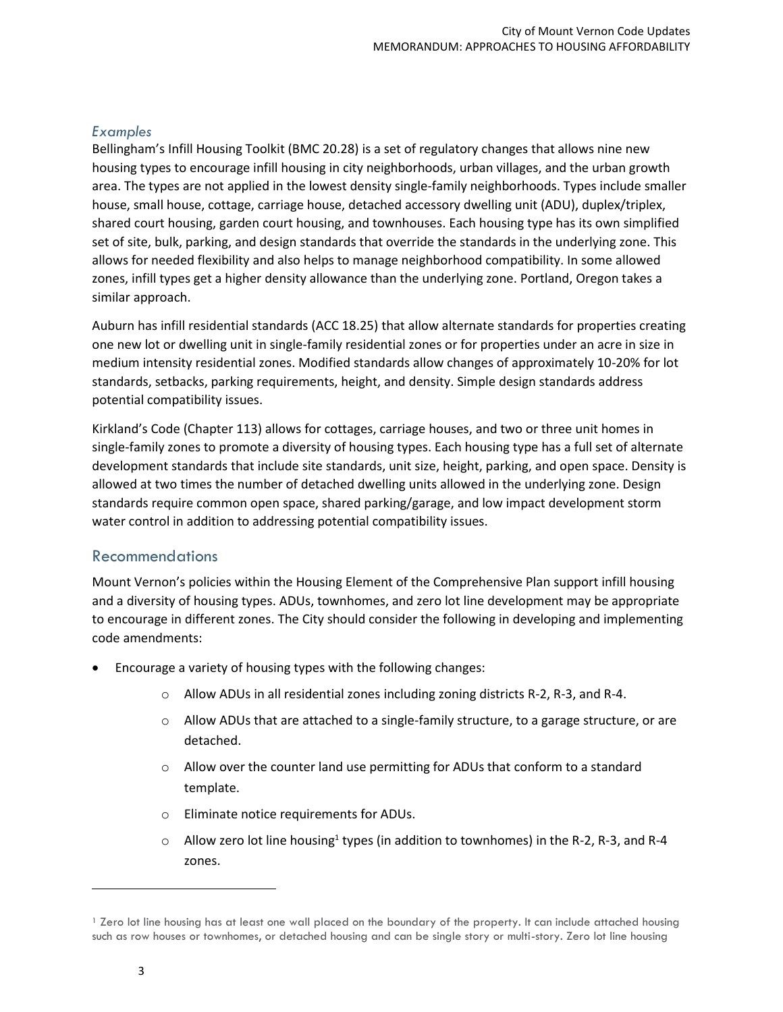#### *Examples*

Bellingham's Infill Housing Toolkit (BMC 20.28) is a set of regulatory changes that allows nine new housing types to encourage infill housing in city neighborhoods, urban villages, and the urban growth area. The types are not applied in the lowest density single-family neighborhoods. Types include smaller house, small house, cottage, carriage house, detached accessory dwelling unit (ADU), duplex/triplex, shared court housing, garden court housing, and townhouses. Each housing type has its own simplified set of site, bulk, parking, and design standards that override the standards in the underlying zone. This allows for needed flexibility and also helps to manage neighborhood compatibility. In some allowed zones, infill types get a higher density allowance than the underlying zone. Portland, Oregon takes a similar approach.

Auburn has infill residential standards (ACC 18.25) that allow alternate standards for properties creating one new lot or dwelling unit in single-family residential zones or for properties under an acre in size in medium intensity residential zones. Modified standards allow changes of approximately 10-20% for lot standards, setbacks, parking requirements, height, and density. Simple design standards address potential compatibility issues.

Kirkland's Code (Chapter 113) allows for cottages, carriage houses, and two or three unit homes in single-family zones to promote a diversity of housing types. Each housing type has a full set of alternate development standards that include site standards, unit size, height, parking, and open space. Density is allowed at two times the number of detached dwelling units allowed in the underlying zone. Design standards require common open space, shared parking/garage, and low impact development storm water control in addition to addressing potential compatibility issues.

#### Recommendations

Mount Vernon's policies within the Housing Element of the Comprehensive Plan support infill housing and a diversity of housing types. ADUs, townhomes, and zero lot line development may be appropriate to encourage in different zones. The City should consider the following in developing and implementing code amendments:

- Encourage a variety of housing types with the following changes:
	- o Allow ADUs in all residential zones including zoning districts R-2, R-3, and R-4.
	- $\circ$  Allow ADUs that are attached to a single-family structure, to a garage structure, or are detached.
	- $\circ$  Allow over the counter land use permitting for ADUs that conform to a standard template.
	- o Eliminate notice requirements for ADUs.
	- $\circ$  Allow zero lot line housing<sup>1</sup> types (in addition to townhomes) in the R-2, R-3, and R-4 zones.

 $\overline{a}$ 

<sup>&</sup>lt;sup>1</sup> Zero lot line housing has at least one wall placed on the boundary of the property. It can include attached housing such as row houses or townhomes, or detached housing and can be single story or multi-story. Zero lot line housing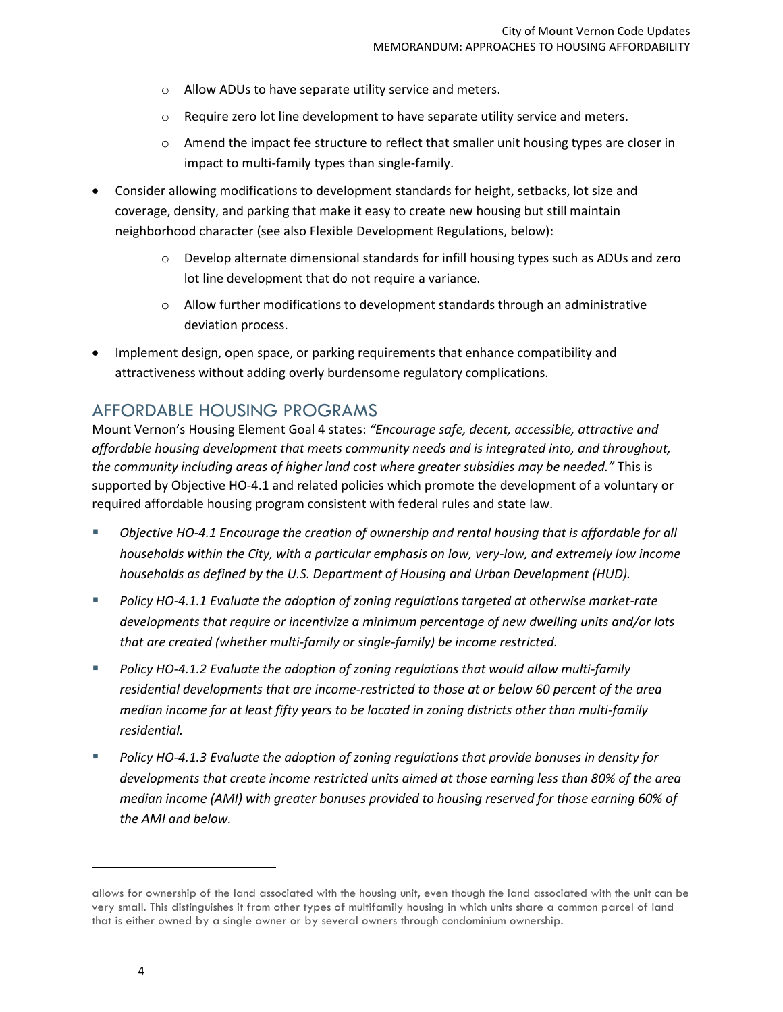- o Allow ADUs to have separate utility service and meters.
- o Require zero lot line development to have separate utility service and meters.
- $\circ$  Amend the impact fee structure to reflect that smaller unit housing types are closer in impact to multi-family types than single-family.
- Consider allowing modifications to development standards for height, setbacks, lot size and coverage, density, and parking that make it easy to create new housing but still maintain neighborhood character (see also Flexible Development Regulations, below):
	- o Develop alternate dimensional standards for infill housing types such as ADUs and zero lot line development that do not require a variance.
	- $\circ$  Allow further modifications to development standards through an administrative deviation process.
- Implement design, open space, or parking requirements that enhance compatibility and attractiveness without adding overly burdensome regulatory complications.

## AFFORDABLE HOUSING PROGRAMS

Mount Vernon's Housing Element Goal 4 states: *"Encourage safe, decent, accessible, attractive and affordable housing development that meets community needs and is integrated into, and throughout, the community including areas of higher land cost where greater subsidies may be needed."* This is supported by Objective HO-4.1 and related policies which promote the development of a voluntary or required affordable housing program consistent with federal rules and state law.

- *Objective HO-4.1 Encourage the creation of ownership and rental housing that is affordable for all households within the City, with a particular emphasis on low, very-low, and extremely low income households as defined by the U.S. Department of Housing and Urban Development (HUD).*
- *Policy HO-4.1.1 Evaluate the adoption of zoning regulations targeted at otherwise market-rate developments that require or incentivize a minimum percentage of new dwelling units and/or lots that are created (whether multi-family or single-family) be income restricted.*
- *Policy HO-4.1.2 Evaluate the adoption of zoning regulations that would allow multi-family residential developments that are income-restricted to those at or below 60 percent of the area median income for at least fifty years to be located in zoning districts other than multi-family residential.*
- *Policy HO-4.1.3 Evaluate the adoption of zoning regulations that provide bonuses in density for developments that create income restricted units aimed at those earning less than 80% of the area median income (AMI) with greater bonuses provided to housing reserved for those earning 60% of the AMI and below.*

 $\overline{\phantom{a}}$ 

allows for ownership of the land associated with the housing unit, even though the land associated with the unit can be very small. This distinguishes it from other types of multifamily housing in which units share a common parcel of land that is either owned by a single owner or by several owners through condominium ownership.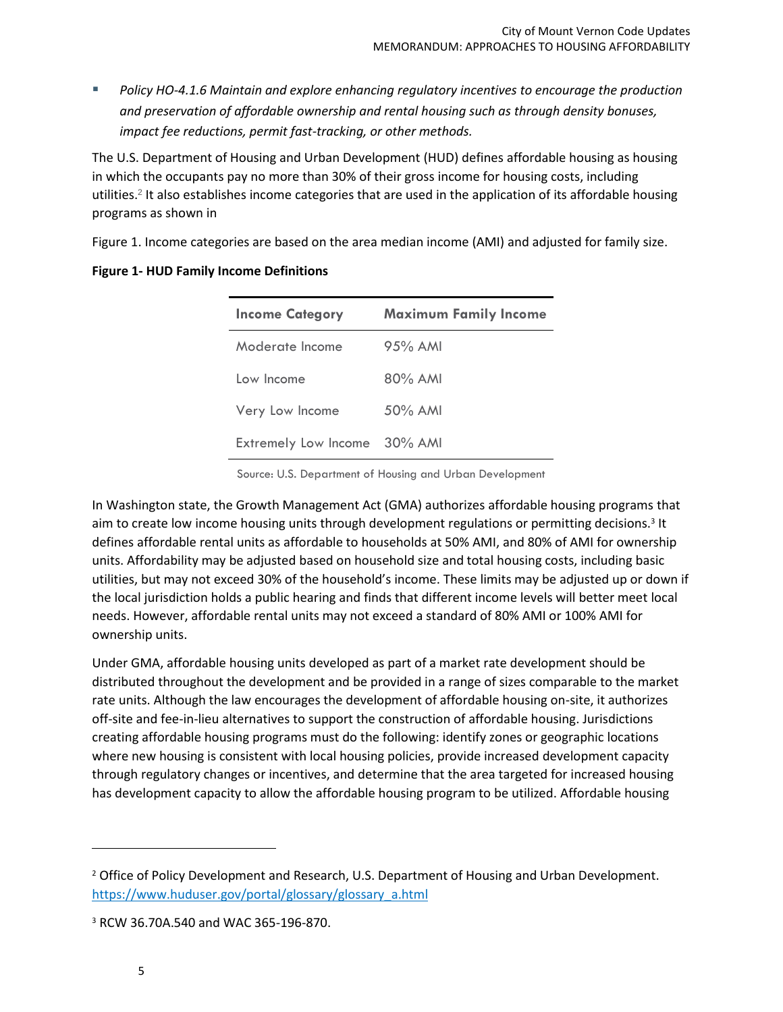*Policy HO-4.1.6 Maintain and explore enhancing regulatory incentives to encourage the production and preservation of affordable ownership and rental housing such as through density bonuses, impact fee reductions, permit fast-tracking, or other methods.* 

The U.S. Department of Housing and Urban Development (HUD) defines affordable housing as housing in which the occupants pay no more than 30% of their gross income for housing costs, including utilities.<sup>2</sup> It also establishes income categories that are used in the application of its affordable housing programs as shown in

[Figure 1.](#page-5-0) Income categories are based on the area median income (AMI) and adjusted for family size.

<span id="page-5-0"></span>

| <b>Income Category</b>      | <b>Maximum Family Income</b> |
|-----------------------------|------------------------------|
| Moderate Income             | $95\%$ AMI                   |
| Low Income                  | $80\%$ AMI                   |
| Very Low Income             | $50\%$ AMI                   |
| <b>Extremely Low Income</b> | 30% AMI                      |

#### **Figure 1- HUD Family Income Definitions**

Source: U.S. Department of Housing and Urban Development

In Washington state, the Growth Management Act (GMA) authorizes affordable housing programs that aim to create low income housing units through development regulations or permitting decisions.<sup>3</sup> It defines affordable rental units as affordable to households at 50% AMI, and 80% of AMI for ownership units. Affordability may be adjusted based on household size and total housing costs, including basic utilities, but may not exceed 30% of the household's income. These limits may be adjusted up or down if the local jurisdiction holds a public hearing and finds that different income levels will better meet local needs. However, affordable rental units may not exceed a standard of 80% AMI or 100% AMI for ownership units.

Under GMA, affordable housing units developed as part of a market rate development should be distributed throughout the development and be provided in a range of sizes comparable to the market rate units. Although the law encourages the development of affordable housing on-site, it authorizes off-site and fee-in-lieu alternatives to support the construction of affordable housing. Jurisdictions creating affordable housing programs must do the following: identify zones or geographic locations where new housing is consistent with local housing policies, provide increased development capacity through regulatory changes or incentives, and determine that the area targeted for increased housing has development capacity to allow the affordable housing program to be utilized. Affordable housing

 $\overline{\phantom{a}}$ 

<sup>&</sup>lt;sup>2</sup> Office of Policy Development and Research, U.S. Department of Housing and Urban Development. [https://www.huduser.gov/portal/glossary/glossary\\_a.html](https://www.huduser.gov/portal/glossary/glossary_a.html)

<sup>3</sup> RCW 36.70A.540 and WAC 365-196-870.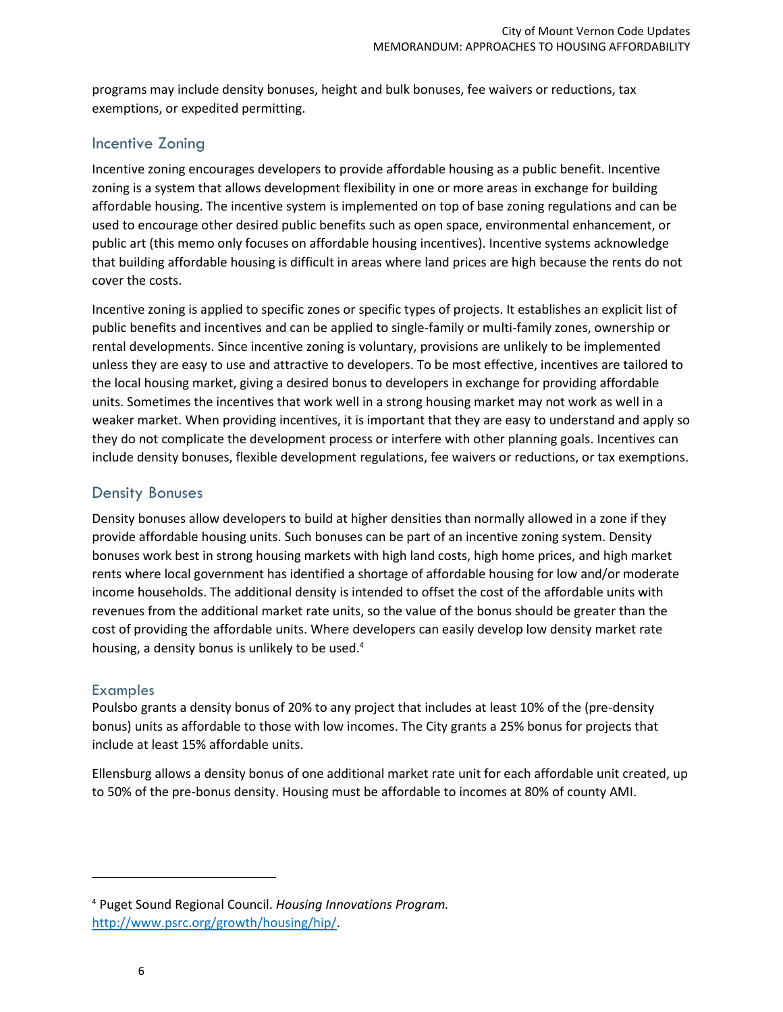programs may include density bonuses, height and bulk bonuses, fee waivers or reductions, tax exemptions, or expedited permitting.

## Incentive Zoning

Incentive zoning encourages developers to provide affordable housing as a public benefit. Incentive zoning is a system that allows development flexibility in one or more areas in exchange for building affordable housing. The incentive system is implemented on top of base zoning regulations and can be used to encourage other desired public benefits such as open space, environmental enhancement, or public art (this memo only focuses on affordable housing incentives). Incentive systems acknowledge that building affordable housing is difficult in areas where land prices are high because the rents do not cover the costs.

Incentive zoning is applied to specific zones or specific types of projects. It establishes an explicit list of public benefits and incentives and can be applied to single-family or multi-family zones, ownership or rental developments. Since incentive zoning is voluntary, provisions are unlikely to be implemented unless they are easy to use and attractive to developers. To be most effective, incentives are tailored to the local housing market, giving a desired bonus to developers in exchange for providing affordable units. Sometimes the incentives that work well in a strong housing market may not work as well in a weaker market. When providing incentives, it is important that they are easy to understand and apply so they do not complicate the development process or interfere with other planning goals. Incentives can include density bonuses, flexible development regulations, fee waivers or reductions, or tax exemptions.

## Density Bonuses

Density bonuses allow developers to build at higher densities than normally allowed in a zone if they provide affordable housing units. Such bonuses can be part of an incentive zoning system. Density bonuses work best in strong housing markets with high land costs, high home prices, and high market rents where local government has identified a shortage of affordable housing for low and/or moderate income households. The additional density is intended to offset the cost of the affordable units with revenues from the additional market rate units, so the value of the bonus should be greater than the cost of providing the affordable units. Where developers can easily develop low density market rate housing, a density bonus is unlikely to be used.<sup>4</sup>

#### Examples

Poulsbo grants a density bonus of 20% to any project that includes at least 10% of the (pre-density bonus) units as affordable to those with low incomes. The City grants a 25% bonus for projects that include at least 15% affordable units.

Ellensburg allows a density bonus of one additional market rate unit for each affordable unit created, up to 50% of the pre-bonus density. Housing must be affordable to incomes at 80% of county AMI.

<sup>4</sup> Puget Sound Regional Council. *Housing Innovations Program.*  [http://www.psrc.org/growth/housing/hip/.](http://www.psrc.org/growth/housing/hip/)

l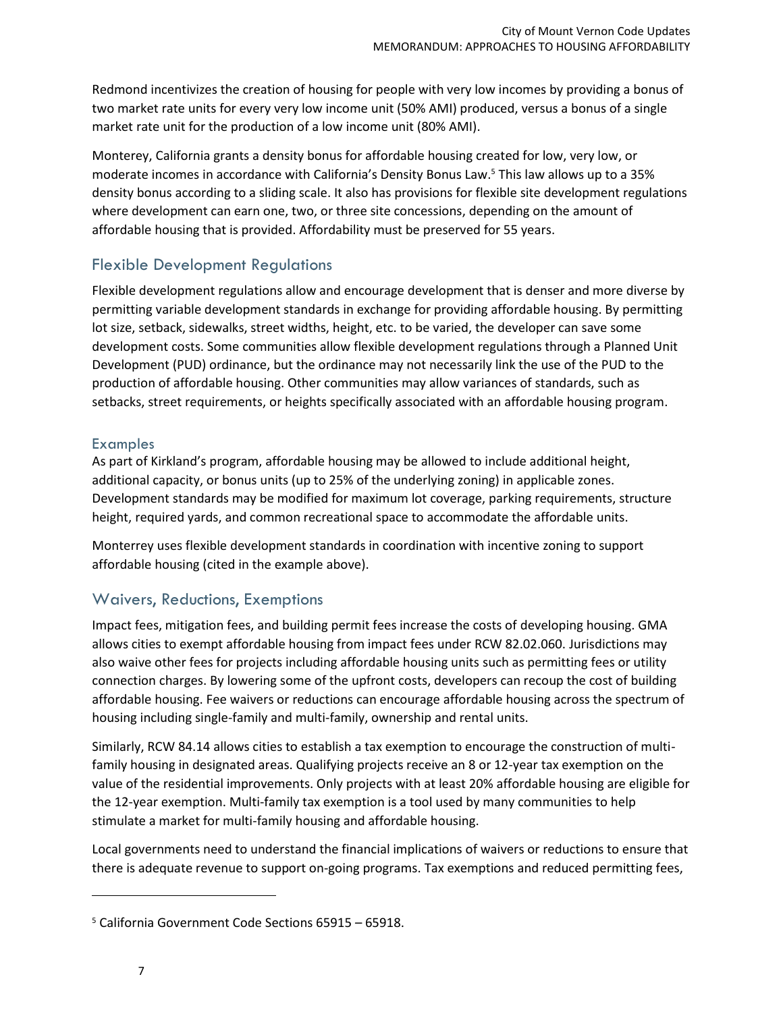Redmond incentivizes the creation of housing for people with very low incomes by providing a bonus of two market rate units for every very low income unit (50% AMI) produced, versus a bonus of a single market rate unit for the production of a low income unit (80% AMI).

Monterey, California grants a density bonus for affordable housing created for low, very low, or moderate incomes in accordance with California's Density Bonus Law.<sup>5</sup> This law allows up to a 35% density bonus according to a sliding scale. It also has provisions for flexible site development regulations where development can earn one, two, or three site concessions, depending on the amount of affordable housing that is provided. Affordability must be preserved for 55 years.

## Flexible Development Regulations

Flexible development regulations allow and encourage development that is denser and more diverse by permitting variable development standards in exchange for providing affordable housing. By permitting lot size, setback, sidewalks, street widths, height, etc. to be varied, the developer can save some development costs. Some communities allow flexible development regulations through a Planned Unit Development (PUD) ordinance, but the ordinance may not necessarily link the use of the PUD to the production of affordable housing. Other communities may allow variances of standards, such as setbacks, street requirements, or heights specifically associated with an affordable housing program.

#### Examples

As part of Kirkland's program, affordable housing may be allowed to include additional height, additional capacity, or bonus units (up to 25% of the underlying zoning) in applicable zones. Development standards may be modified for maximum lot coverage, parking requirements, structure height, required yards, and common recreational space to accommodate the affordable units.

Monterrey uses flexible development standards in coordination with incentive zoning to support affordable housing (cited in the example above).

## Waivers, Reductions, Exemptions

Impact fees, mitigation fees, and building permit fees increase the costs of developing housing. GMA allows cities to exempt affordable housing from impact fees under RCW 82.02.060. Jurisdictions may also waive other fees for projects including affordable housing units such as permitting fees or utility connection charges. By lowering some of the upfront costs, developers can recoup the cost of building affordable housing. Fee waivers or reductions can encourage affordable housing across the spectrum of housing including single-family and multi-family, ownership and rental units.

Similarly, RCW 84.14 allows cities to establish a tax exemption to encourage the construction of multifamily housing in designated areas. Qualifying projects receive an 8 or 12-year tax exemption on the value of the residential improvements. Only projects with at least 20% affordable housing are eligible for the 12-year exemption. Multi-family tax exemption is a tool used by many communities to help stimulate a market for multi-family housing and affordable housing.

Local governments need to understand the financial implications of waivers or reductions to ensure that there is adequate revenue to support on-going programs. Tax exemptions and reduced permitting fees,

 $\overline{a}$ 

<sup>5</sup> California Government Code Sections 65915 – 65918.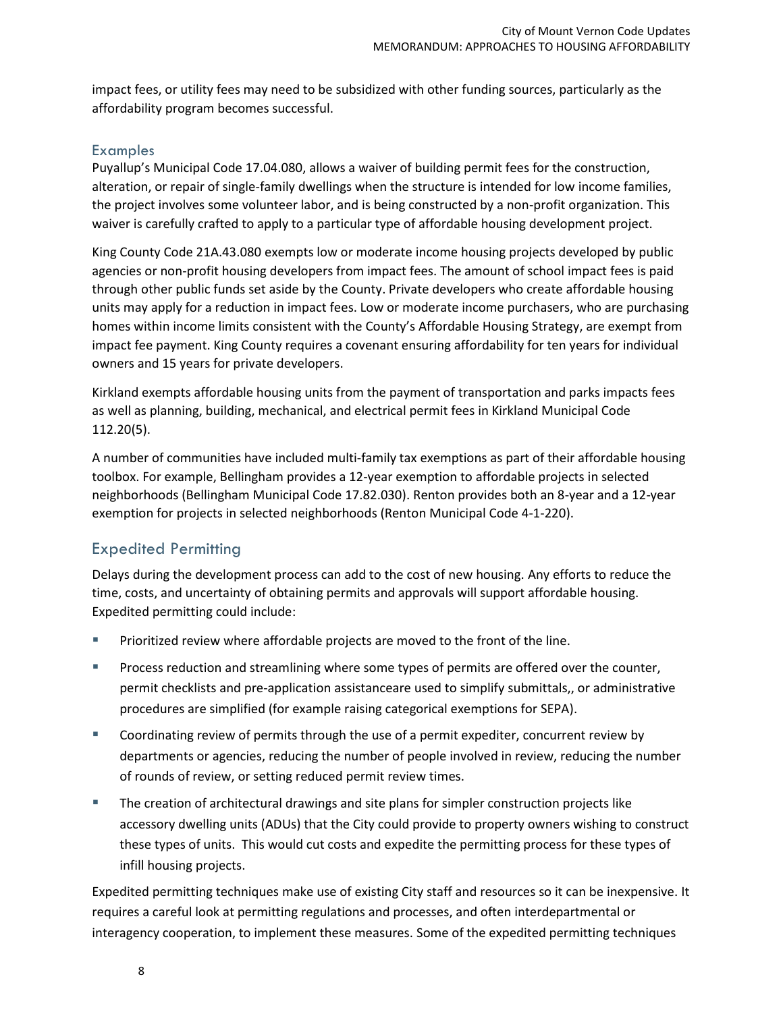impact fees, or utility fees may need to be subsidized with other funding sources, particularly as the affordability program becomes successful.

#### Examples

Puyallup's Municipal Code 17.04.080, allows a waiver of building permit fees for the construction, alteration, or repair of single-family dwellings when the structure is intended for low income families, the project involves some volunteer labor, and is being constructed by a non-profit organization. This waiver is carefully crafted to apply to a particular type of affordable housing development project.

King County Code 21A.43.080 exempts low or moderate income housing projects developed by public agencies or non-profit housing developers from impact fees. The amount of school impact fees is paid through other public funds set aside by the County. Private developers who create affordable housing units may apply for a reduction in impact fees. Low or moderate income purchasers, who are purchasing homes within income limits consistent with the County's Affordable Housing Strategy, are exempt from impact fee payment. King County requires a covenant ensuring affordability for ten years for individual owners and 15 years for private developers.

Kirkland exempts affordable housing units from the payment of transportation and parks impacts fees as well as planning, building, mechanical, and electrical permit fees in Kirkland Municipal Code 112.20(5).

A number of communities have included multi-family tax exemptions as part of their affordable housing toolbox. For example, Bellingham provides a 12-year exemption to affordable projects in selected neighborhoods (Bellingham Municipal Code 17.82.030). Renton provides both an 8-year and a 12-year exemption for projects in selected neighborhoods (Renton Municipal Code 4-1-220).

## Expedited Permitting

Delays during the development process can add to the cost of new housing. Any efforts to reduce the time, costs, and uncertainty of obtaining permits and approvals will support affordable housing. Expedited permitting could include:

- Prioritized review where affordable projects are moved to the front of the line.
- Process reduction and streamlining where some types of permits are offered over the counter, permit checklists and pre-application assistanceare used to simplify submittals,, or administrative procedures are simplified (for example raising categorical exemptions for SEPA).
- Coordinating review of permits through the use of a permit expediter, concurrent review by departments or agencies, reducing the number of people involved in review, reducing the number of rounds of review, or setting reduced permit review times.
- The creation of architectural drawings and site plans for simpler construction projects like accessory dwelling units (ADUs) that the City could provide to property owners wishing to construct these types of units. This would cut costs and expedite the permitting process for these types of infill housing projects.

Expedited permitting techniques make use of existing City staff and resources so it can be inexpensive. It requires a careful look at permitting regulations and processes, and often interdepartmental or interagency cooperation, to implement these measures. Some of the expedited permitting techniques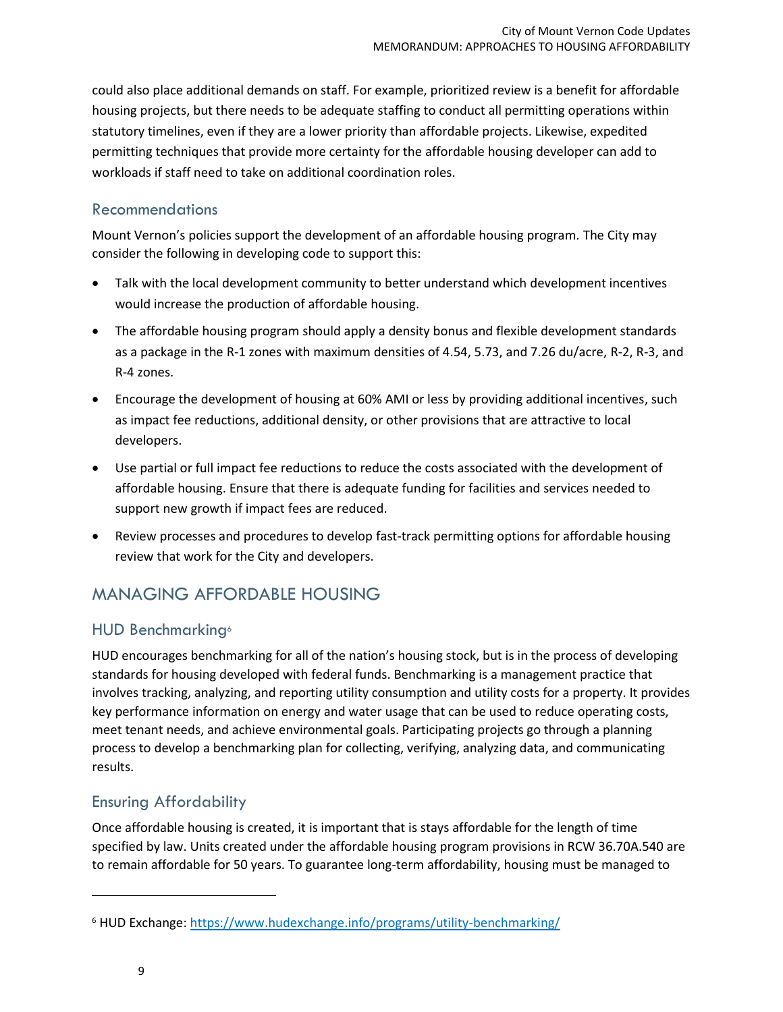could also place additional demands on staff. For example, prioritized review is a benefit for affordable housing projects, but there needs to be adequate staffing to conduct all permitting operations within statutory timelines, even if they are a lower priority than affordable projects. Likewise, expedited permitting techniques that provide more certainty for the affordable housing developer can add to workloads if staff need to take on additional coordination roles.

## Recommendations

Mount Vernon's policies support the development of an affordable housing program. The City may consider the following in developing code to support this:

- Talk with the local development community to better understand which development incentives would increase the production of affordable housing.
- The affordable housing program should apply a density bonus and flexible development standards as a package in the R-1 zones with maximum densities of 4.54, 5.73, and 7.26 du/acre, R-2, R-3, and R-4 zones.
- Encourage the development of housing at 60% AMI or less by providing additional incentives, such as impact fee reductions, additional density, or other provisions that are attractive to local developers.
- Use partial or full impact fee reductions to reduce the costs associated with the development of affordable housing. Ensure that there is adequate funding for facilities and services needed to support new growth if impact fees are reduced.
- Review processes and procedures to develop fast-track permitting options for affordable housing review that work for the City and developers.

## MANAGING AFFORDABLE HOUSING

## HUD Benchmarking<sup>6</sup>

HUD encourages benchmarking for all of the nation's housing stock, but is in the process of developing standards for housing developed with federal funds. Benchmarking is a management practice that involves tracking, analyzing, and reporting utility consumption and utility costs for a property. It provides key performance information on energy and water usage that can be used to reduce operating costs, meet tenant needs, and achieve environmental goals. Participating projects go through a planning process to develop a benchmarking plan for collecting, verifying, analyzing data, and communicating results.

## Ensuring Affordability

Once affordable housing is created, it is important that is stays affordable for the length of time specified by law. Units created under the affordable housing program provisions in RCW 36.70A.540 are to remain affordable for 50 years. To guarantee long-term affordability, housing must be managed to

 $\overline{a}$ 

<sup>&</sup>lt;sup>6</sup> HUD Exchange[: https://www.hudexchange.info/programs/utility-benchmarking/](https://www.hudexchange.info/programs/utility-benchmarking/)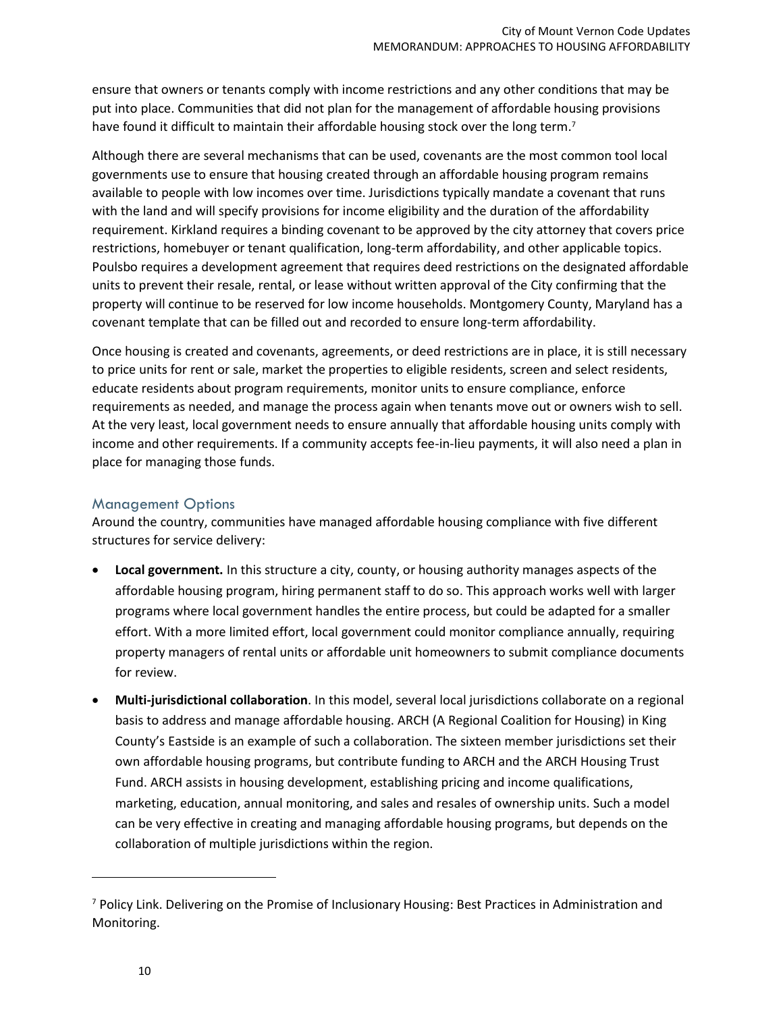ensure that owners or tenants comply with income restrictions and any other conditions that may be put into place. Communities that did not plan for the management of affordable housing provisions have found it difficult to maintain their affordable housing stock over the long term.<sup>7</sup>

Although there are several mechanisms that can be used, covenants are the most common tool local governments use to ensure that housing created through an affordable housing program remains available to people with low incomes over time. Jurisdictions typically mandate a covenant that runs with the land and will specify provisions for income eligibility and the duration of the affordability requirement. Kirkland requires a binding covenant to be approved by the city attorney that covers price restrictions, homebuyer or tenant qualification, long-term affordability, and other applicable topics. Poulsbo requires a development agreement that requires deed restrictions on the designated affordable units to prevent their resale, rental, or lease without written approval of the City confirming that the property will continue to be reserved for low income households. Montgomery County, Maryland has a covenant template that can be filled out and recorded to ensure long-term affordability.

Once housing is created and covenants, agreements, or deed restrictions are in place, it is still necessary to price units for rent or sale, market the properties to eligible residents, screen and select residents, educate residents about program requirements, monitor units to ensure compliance, enforce requirements as needed, and manage the process again when tenants move out or owners wish to sell. At the very least, local government needs to ensure annually that affordable housing units comply with income and other requirements. If a community accepts fee-in-lieu payments, it will also need a plan in place for managing those funds.

#### Management Options

Around the country, communities have managed affordable housing compliance with five different structures for service delivery:

- **Local government.** In this structure a city, county, or housing authority manages aspects of the affordable housing program, hiring permanent staff to do so. This approach works well with larger programs where local government handles the entire process, but could be adapted for a smaller effort. With a more limited effort, local government could monitor compliance annually, requiring property managers of rental units or affordable unit homeowners to submit compliance documents for review.
- **Multi-jurisdictional collaboration**. In this model, several local jurisdictions collaborate on a regional basis to address and manage affordable housing. ARCH (A Regional Coalition for Housing) in King County's Eastside is an example of such a collaboration. The sixteen member jurisdictions set their own affordable housing programs, but contribute funding to ARCH and the ARCH Housing Trust Fund. ARCH assists in housing development, establishing pricing and income qualifications, marketing, education, annual monitoring, and sales and resales of ownership units. Such a model can be very effective in creating and managing affordable housing programs, but depends on the collaboration of multiple jurisdictions within the region.

l

<sup>7</sup> Policy Link. Delivering on the Promise of Inclusionary Housing: Best Practices in Administration and Monitoring.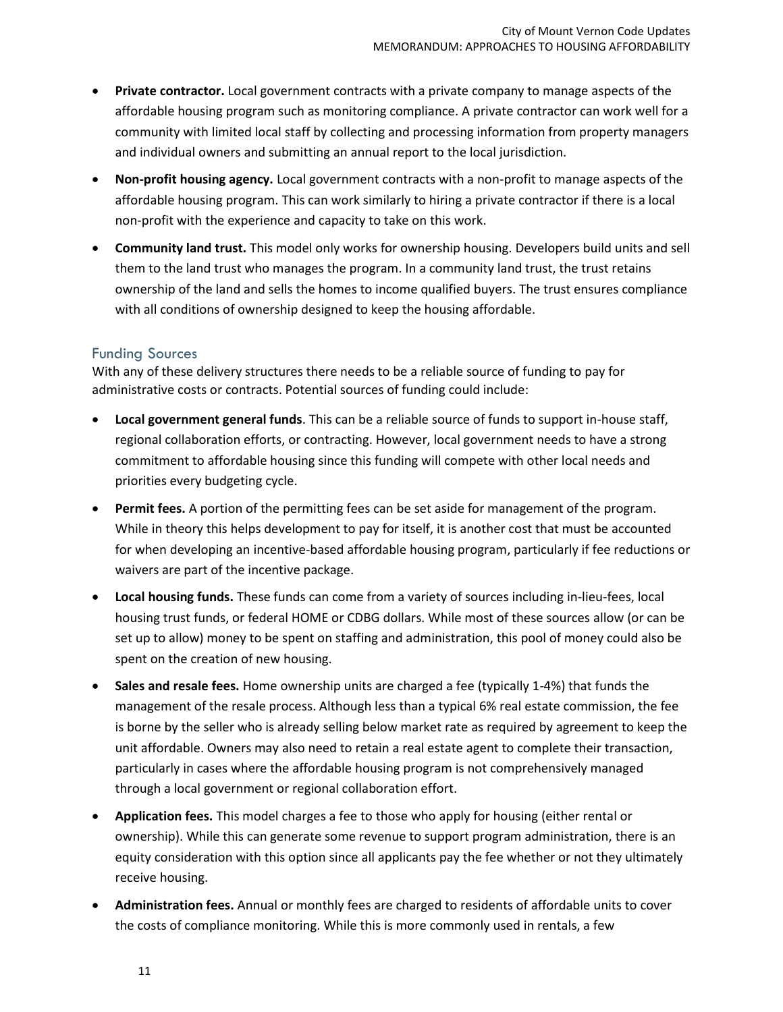- **Private contractor.** Local government contracts with a private company to manage aspects of the affordable housing program such as monitoring compliance. A private contractor can work well for a community with limited local staff by collecting and processing information from property managers and individual owners and submitting an annual report to the local jurisdiction.
- **Non-profit housing agency.** Local government contracts with a non-profit to manage aspects of the affordable housing program. This can work similarly to hiring a private contractor if there is a local non-profit with the experience and capacity to take on this work.
- **Community land trust.** This model only works for ownership housing. Developers build units and sell them to the land trust who manages the program. In a community land trust, the trust retains ownership of the land and sells the homes to income qualified buyers. The trust ensures compliance with all conditions of ownership designed to keep the housing affordable.

#### Funding Sources

With any of these delivery structures there needs to be a reliable source of funding to pay for administrative costs or contracts. Potential sources of funding could include:

- **Local government general funds**. This can be a reliable source of funds to support in-house staff, regional collaboration efforts, or contracting. However, local government needs to have a strong commitment to affordable housing since this funding will compete with other local needs and priorities every budgeting cycle.
- **Permit fees.** A portion of the permitting fees can be set aside for management of the program. While in theory this helps development to pay for itself, it is another cost that must be accounted for when developing an incentive-based affordable housing program, particularly if fee reductions or waivers are part of the incentive package.
- **Local housing funds.** These funds can come from a variety of sources including in-lieu-fees, local housing trust funds, or federal HOME or CDBG dollars. While most of these sources allow (or can be set up to allow) money to be spent on staffing and administration, this pool of money could also be spent on the creation of new housing.
- **Sales and resale fees.** Home ownership units are charged a fee (typically 1-4%) that funds the management of the resale process. Although less than a typical 6% real estate commission, the fee is borne by the seller who is already selling below market rate as required by agreement to keep the unit affordable. Owners may also need to retain a real estate agent to complete their transaction, particularly in cases where the affordable housing program is not comprehensively managed through a local government or regional collaboration effort.
- **Application fees.** This model charges a fee to those who apply for housing (either rental or ownership). While this can generate some revenue to support program administration, there is an equity consideration with this option since all applicants pay the fee whether or not they ultimately receive housing.
- **Administration fees.** Annual or monthly fees are charged to residents of affordable units to cover the costs of compliance monitoring. While this is more commonly used in rentals, a few